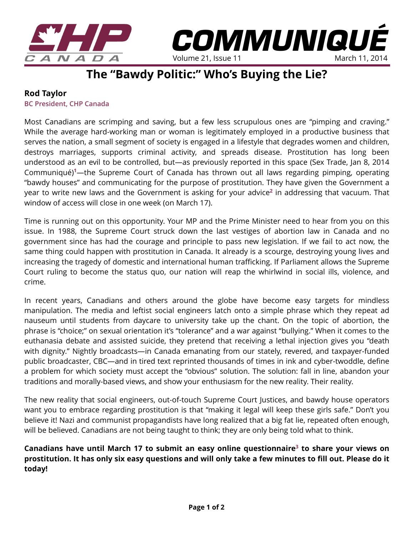



Volume 21, Issue 11

*COMMUNIQUE* 

## **Rod Taylor**

**BC President, CHP Canada** 

Most Canadians are scrimping and saving, but a few less scrupulous ones are "pimping and craving." While the average hard-working man or woman is legitimately employed in a productive business that serves the nation, a small segment of society is engaged in a lifestyle that degrades women and children, destroys marriages, supports criminal activity, and spreads disease. Prostitution has long been understood as an evil to be controlled, but—as previously reported in this space (Sex Trade, Jan 8, 2014 Communiqué)**[1](http://www.chp.ca/commentary/sex-trade)**—the Supreme Court of Canada has thrown out all laws regarding pimping, operating "bawdy houses" and communicating for the purpose of prostitution. They have given the Government a year to write new laws and the Government is asking for your advice**[2](http://www.justice.gc.ca/eng/cons/curr-cours/proscons-conspros/index.html)** in addressing that vacuum. That window of access will close in one week (on March 17).

Time is running out on this opportunity. Your MP and the Prime Minister need to hear from you on this issue. In 1988, the Supreme Court struck down the last vestiges of abortion law in Canada and no government since has had the courage and principle to pass new legislation. If we fail to act now, the same thing could happen with prostitution in Canada. It already is a scourge, destroying young lives and increasing the tragedy of domestic and international human trafficking. If Parliament allows the Supreme Court ruling to become the status quo, our nation will reap the whirlwind in social ills, violence, and crime.

In recent years, Canadians and others around the globe have become easy targets for mindless manipulation. The media and leftist social engineers latch onto a simple phrase which they repeat ad nauseum until students from daycare to university take up the chant. On the topic of abortion, the phrase is "choice;" on sexual orientation it's "tolerance" and a war against "bullying." When it comes to the euthanasia debate and assisted suicide, they pretend that receiving a lethal injection gives you "death with dignity." Nightly broadcasts—in Canada emanating from our stately, revered, and taxpayer-funded public broadcaster, CBC—and in tired text reprinted thousands of times in ink and cyber-twoddle, define a problem for which society must accept the "obvious" solution. The solution: fall in line, abandon your traditions and morally-based views, and show your enthusiasm for the new reality. Their reality.

The new reality that social engineers, out-of-touch Supreme Court Justices, and bawdy house operators want you to embrace regarding prostitution is that "making it legal will keep these girls safe." Don't you believe it! Nazi and communist propagandists have long realized that a big fat lie, repeated often enough, will be believed. Canadians are not being taught to think; they are only being told what to think.

**Canadians have until March 17 to submit an easy online questionnair[e3](http://www.justice.gc.ca/eng/cons/curr-cours/proscons-conspros/index.html) to share your views on prostitution. It has only six easy questions and will only take a few minutes to fill out. Please do it today!**